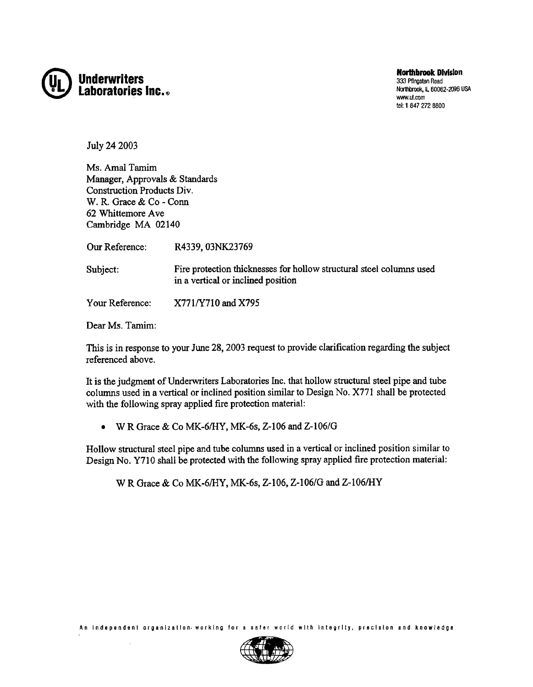

**Northbrook Division** 333 Pflngsten Road Northbrook, IL 60062-2096 USA www.ul.com tel: 1 847 272 8800

July 24 2003

Ms. Amal Tamim Manager, Approvals & Standards Construction Products Div. w. R. Grace & Co -Conn 62 Whittemore Ave Cambridge MA 02140

Our Reference: R4339, 03NK23769

Fire protection thicknesses for hollow structural steel columns used in a vertical or inclined position Subject:

Your Reference: X771/Y710 and X795

Dear Ms. Tamim:

This is in response to your June 28, 2003 request to provide clarification regarding the subject referenced above.

It is the judgment of Underwriters Laboratories Inc. that hollow structural steel pipe and tube colunms used in a vertical or inclined position similar to Design No. X771 shall be protected with the following spray applied fire protection material:

 $\bullet$  W R Grace & Co MK-6/HY, MK-6s, Z-106 and Z-106/G

Hollow structural steel pipe and tube columns used in a vertical or inclined position similar to Design No. Y7I0 shall be protected with the following spray applied fire protection material:

w R Grace & Co MK-6/HY, MK-6s, 2-106, 2-106/G and 2-106/HY